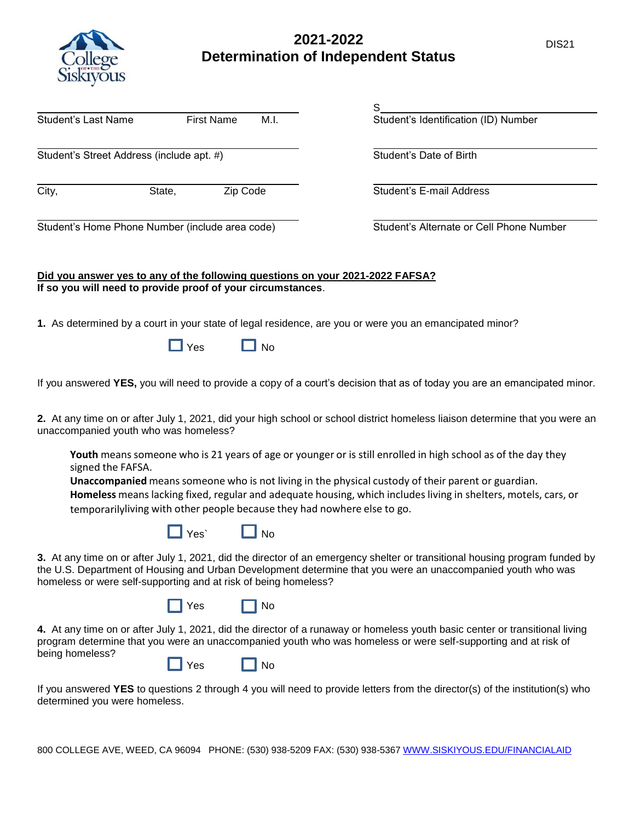

## **2021-2022** DIS21 **Determination of Independent Status**

|                                                                                                                                              |             |                      |                                                                          | S                                                                                                                                                                                                                                              |
|----------------------------------------------------------------------------------------------------------------------------------------------|-------------|----------------------|--------------------------------------------------------------------------|------------------------------------------------------------------------------------------------------------------------------------------------------------------------------------------------------------------------------------------------|
| <b>Student's Last Name</b>                                                                                                                   |             | <b>First Name</b>    | M.I.                                                                     | Student's Identification (ID) Number                                                                                                                                                                                                           |
| Student's Street Address (include apt. #)                                                                                                    |             |                      |                                                                          | Student's Date of Birth                                                                                                                                                                                                                        |
| City,                                                                                                                                        | State,      | Zip Code             |                                                                          | Student's E-mail Address                                                                                                                                                                                                                       |
| Student's Home Phone Number (include area code)                                                                                              |             |                      |                                                                          | Student's Alternate or Cell Phone Number                                                                                                                                                                                                       |
| Did you answer yes to any of the following questions on your 2021-2022 FAFSA?<br>If so you will need to provide proof of your circumstances. |             |                      |                                                                          |                                                                                                                                                                                                                                                |
|                                                                                                                                              |             |                      |                                                                          | 1. As determined by a court in your state of legal residence, are you or were you an emancipated minor?                                                                                                                                        |
|                                                                                                                                              | $\Box$ Yes  | <b>No</b>            |                                                                          |                                                                                                                                                                                                                                                |
|                                                                                                                                              |             |                      |                                                                          | If you answered YES, you will need to provide a copy of a court's decision that as of today you are an emancipated minor.                                                                                                                      |
| unaccompanied youth who was homeless?                                                                                                        |             |                      |                                                                          | 2. At any time on or after July 1, 2021, did your high school or school district homeless liaison determine that you were an                                                                                                                   |
| signed the FAFSA.                                                                                                                            |             |                      |                                                                          | Youth means someone who is 21 years of age or younger or is still enrolled in high school as of the day they                                                                                                                                   |
|                                                                                                                                              |             |                      | temporarilyliving with other people because they had nowhere else to go. | Unaccompanied means someone who is not living in the physical custody of their parent or guardian.<br>Homeless means lacking fixed, regular and adequate housing, which includes living in shelters, motels, cars, or                          |
|                                                                                                                                              | $\Box$ Yes` | $\Box$ No            |                                                                          |                                                                                                                                                                                                                                                |
| homeless or were self-supporting and at risk of being homeless?                                                                              |             |                      |                                                                          | 3. At any time on or after July 1, 2021, did the director of an emergency shelter or transitional housing program funded by<br>the U.S. Department of Housing and Urban Development determine that you were an unaccompanied youth who was     |
|                                                                                                                                              | $\Box$ Yes  | $\prod$ No           |                                                                          |                                                                                                                                                                                                                                                |
|                                                                                                                                              |             |                      |                                                                          | 4. At any time on or after July 1, 2021, did the director of a runaway or homeless youth basic center or transitional living<br>program determine that you were an unaccompanied youth who was homeless or were self-supporting and at risk of |
| being homeless?                                                                                                                              |             | $\Box$ Yes $\Box$ No |                                                                          |                                                                                                                                                                                                                                                |
| determined you were homeless.                                                                                                                |             |                      |                                                                          | If you answered YES to questions 2 through 4 you will need to provide letters from the director(s) of the institution(s) who                                                                                                                   |

800 COLLEGE AVE, WEED, CA 96094 PHONE: (530) 938-5209 FAX: (530) 938-5367 [WWW.SISKIYOUS.EDU/FINANCIALAID](http://www.siskiyous.edu/financialaid)